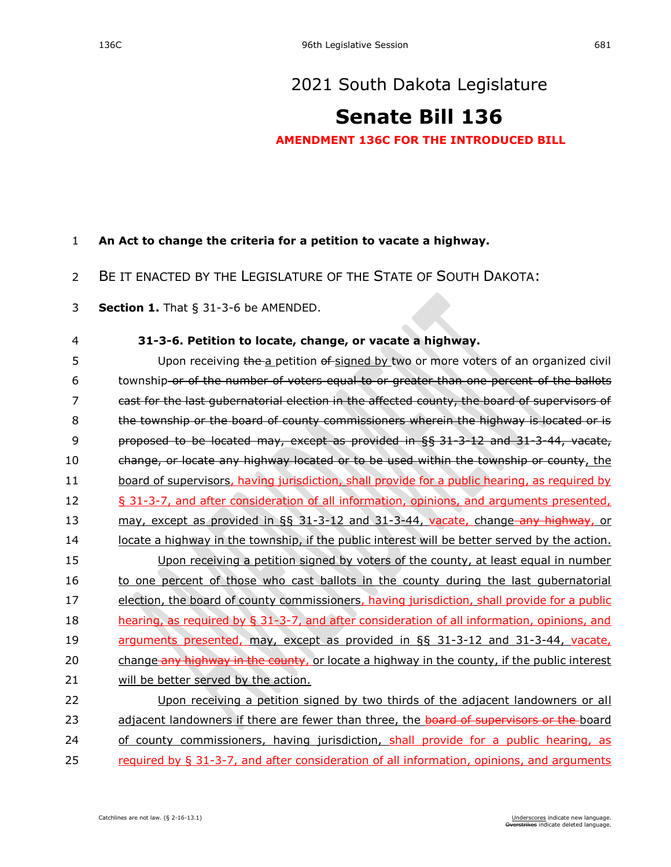# [2021 South Dakota Legislature](https://sdlegislature.gov/Session/Bills/44)

# **[Senate Bill 136](https://sdlegislature.gov/Session/Bill/22372)**

### **AMENDMENT 136C FOR THE INTRODUCED BILL**

#### 1 **An Act to change the criteria for a petition to vacate a highway.**

## 2 BE IT ENACTED BY THE LEGISLATURE OF THE STATE OF SOUTH DAKOTA:

3 **Section 1.** [That § 31-3-6 be AMENDED.](https://sdlegislature.gov/Statutes/Codified_Laws/2052553)

#### 4 **[31-3-6. P](https://sdlegislature.gov/Statutes/Codified_Laws/DisplayStatute.aspx?Type=Statute&Statute=31-3-6)etition to locate, change, or vacate a highway.**

5 Upon receiving the a petition of signed by two or more voters of an organized civil 6 township or of the number of voters equal to or greater than one percent of the ballots 7 cast for the last gubernatorial election in the affected county, the board of supervisors of 8 the township or the board of county commissioners wherein the highway is located or is 9 proposed to be located may, except as provided in §§ [31-3-12](https://sdlegislature.gov/Statutes/Codified_Laws/DisplayStatute.aspx?Type=Statute&Statute=31-3-12) and [31-3-44,](https://sdlegislature.gov/Statutes/Codified_Laws/DisplayStatute.aspx?Type=Statute&Statute=31-3-44) vacate, 10 change, or locate any highway located or to be used within the township or county, the 11 board of supervisors, having jurisdiction, shall provide for a public hearing, as required by 12 § [31-3-7,](https://sdlegislature.gov/Statutes/Codified_Laws/DisplayStatute.aspx?Type=Statute&Statute=31-3-7) and after consideration of all information, opinions, and arguments presented, 13 may, except as provided in §§ [31-3-12](https://sdlegislature.gov/Statutes/Codified_Laws/DisplayStatute.aspx?Type=Statute&Statute=31-3-12) and [31-3-44,](https://sdlegislature.gov/Statutes/Codified_Laws/DisplayStatute.aspx?Type=Statute&Statute=31-3-44) vacate, change–any highway, or 14 locate a highway in the township, if the public interest will be better served by the action. 15 Upon receiving a petition signed by voters of the county, at least equal in number 16 to one percent of those who cast ballots in the county during the last gubernatorial 17 election, the board of county commissioners, having jurisdiction, shall provide for a public 18 hearing, as required by § [31-3-7,](https://sdlegislature.gov/Statutes/Codified_Laws/DisplayStatute.aspx?Type=Statute&Statute=31-3-7) and after consideration of all information, opinions, and 19 arguments presented, may, except as provided in §§ [31-3-12](https://sdlegislature.gov/Statutes/Codified_Laws/DisplayStatute.aspx?Type=Statute&Statute=31-3-12) and [31-3-44,](https://sdlegislature.gov/Statutes/Codified_Laws/DisplayStatute.aspx?Type=Statute&Statute=31-3-44) vacate, 20 change any highway in the county, or locate a highway in the county, if the public interest 21 will be better served by the action. 22 Upon receiving a petition signed by two thirds of the adjacent landowners or all 23 adjacent landowners if there are fewer than three, the board of supervisors or the board

24 of county commissioners, having jurisdiction, shall provide for a public hearing, as

25 required by § [31-3-7,](https://sdlegislature.gov/Statutes/Codified_Laws/DisplayStatute.aspx?Type=Statute&Statute=31-3-7) and after consideration of all information, opinions, and arguments